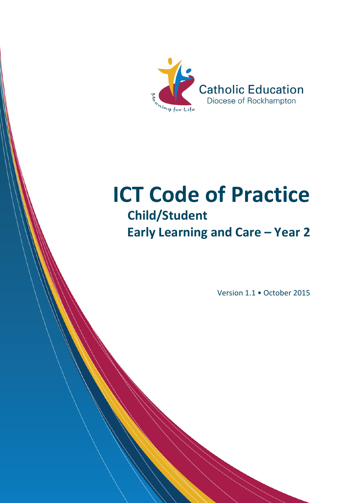

# **ICT Code of Practice Child/Student Early Learning and Care - Year 2**

Version 1.1 • October 2015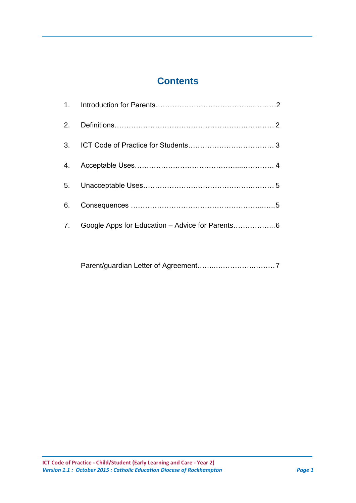# **Contents**

| 6. |                                                  |  |
|----|--------------------------------------------------|--|
| 7. | Google Apps for Education - Advice for Parents 6 |  |

Parent/guardian Letter of Agreement……..…………….………7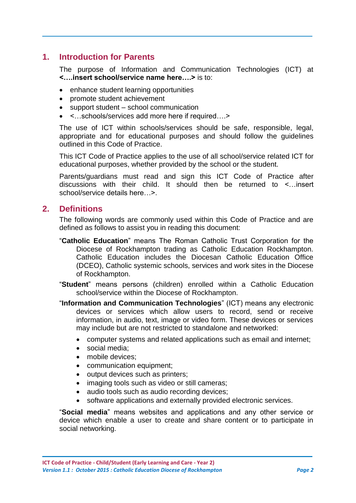## **1. Introduction for Parents**

The purpose of Information and Communication Technologies (ICT) at **<….insert school/service name here….>** is to:

- enhance student learning opportunities
- promote student achievement
- support student school communication
- <…schools/services add more here if required….>

The use of ICT within schools/services should be safe, responsible, legal, appropriate and for educational purposes and should follow the guidelines outlined in this Code of Practice.

This ICT Code of Practice applies to the use of all school/service related ICT for educational purposes, whether provided by the school or the student.

Parents/guardians must read and sign this ICT Code of Practice after discussions with their child. It should then be returned to <…insert school/service details here  $\geq$ .

#### **2. Definitions**

The following words are commonly used within this Code of Practice and are defined as follows to assist you in reading this document:

- "**Catholic Education**" means The Roman Catholic Trust Corporation for the Diocese of Rockhampton trading as Catholic Education Rockhampton. Catholic Education includes the Diocesan Catholic Education Office (DCEO), Catholic systemic schools, services and work sites in the Diocese of Rockhampton.
- "**Student**" means persons (children) enrolled within a Catholic Education school/service within the Diocese of Rockhampton.
- "**Information and Communication Technologies**" (ICT) means any electronic devices or services which allow users to record, send or receive information, in audio, text, image or video form. These devices or services may include but are not restricted to standalone and networked:
	- computer systems and related applications such as email and internet;
	- social media;
	- mobile devices:
	- communication equipment;
	- output devices such as printers;
	- imaging tools such as video or still cameras;
	- audio tools such as audio recording devices;
	- software applications and externally provided electronic services.

"**Social media**" means websites and applications and any other service or device which enable a user to create and share content or to participate in social networking.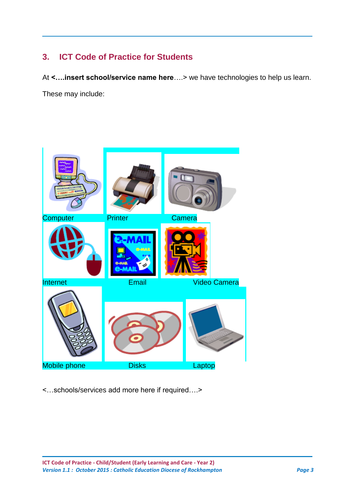## **3. ICT Code of Practice for Students**

At **<….insert school/service name here**….> we have technologies to help us learn. These may include:



<…schools/services add more here if required….>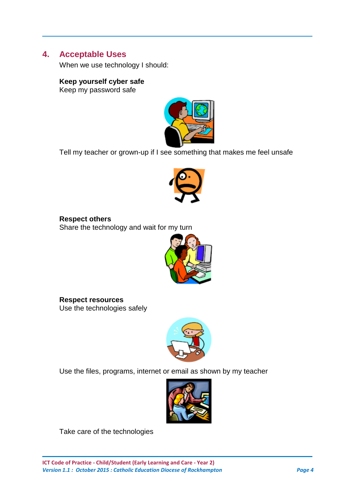#### **4. Acceptable Uses**

When we use technology I should:

#### **Keep yourself cyber safe**

Keep my password safe



Tell my teacher or grown-up if I see something that makes me feel unsafe



**Respect others** Share the technology and wait for my turn



**Respect resources** Use the technologies safely



Use the files, programs, internet or email as shown by my teacher



Take care of the technologies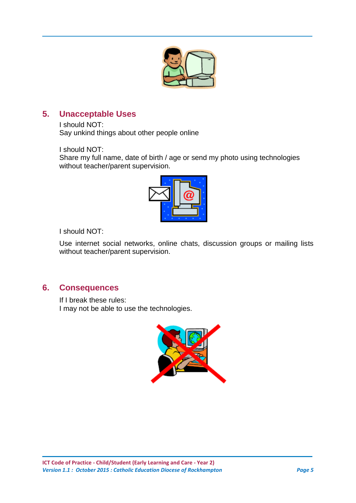

## **5. Unacceptable Uses**

I should NOT: Say unkind things about other people online

I should NOT:

Share my full name, date of birth / age or send my photo using technologies without teacher/parent supervision.



I should NOT:

Use internet social networks, online chats, discussion groups or mailing lists without teacher/parent supervision.

## **6. Consequences**

If I break these rules: I may not be able to use the technologies.

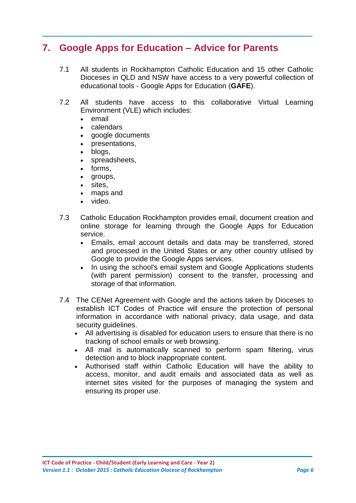## **7. Google Apps for Education – Advice for Parents**

- 7.1 All students in Rockhampton Catholic Education and 15 other Catholic Dioceses in QLD and NSW have access to a very powerful collection of educational tools - Google Apps for Education (**GAFE**).
- 7.2 All students have access to this collaborative Virtual Learning Environment (VLE) which includes:
	- email
	- calendars
	- google documents
	- presentations,
	- blogs,
	- spreadsheets,
	- forms,
	- groups,
	- sites,
	- maps and
	- video.
- 7.3 Catholic Education Rockhampton provides email, document creation and online storage for learning through the Google Apps for Education service.
	- Emails, email account details and data may be transferred, stored and processed in the United States or any other country utilised by Google to provide the Google Apps services.
	- In using the school's email system and Google Applications students (with parent permission) consent to the transfer, processing and storage of that information.
- 7.4 The CENet Agreement with Google and the actions taken by Dioceses to establish ICT Codes of Practice will ensure the protection of personal information in accordance with national privacy, data usage, and data security quidelines.
	- All advertising is disabled for education users to ensure that there is no tracking of school emails or web browsing.
	- All mail is automatically scanned to perform spam filtering, virus detection and to block inappropriate content.
	- Authorised staff within Catholic Education will have the ability to access, monitor, and audit emails and associated data as well as internet sites visited for the purposes of managing the system and ensuring its proper use.